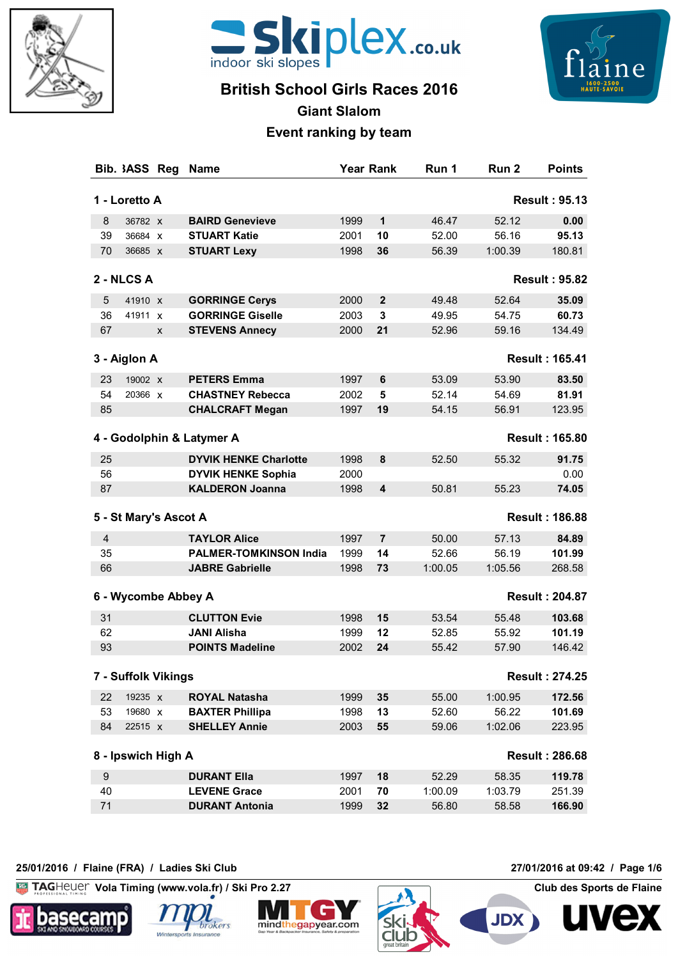



# **British School Girls Races 2016**



**Giant Slalom**

## **Event ranking by team**

| Bib. 3ASS Reg         | <b>Name</b>                   | <b>Year Rank</b> |                | Run 1   | Run 2   | <b>Points</b>         |
|-----------------------|-------------------------------|------------------|----------------|---------|---------|-----------------------|
| 1 - Loretto A         |                               |                  |                |         |         | <b>Result: 95.13</b>  |
| 8<br>36782 X          | <b>BAIRD Genevieve</b>        | 1999             | 1              | 46.47   | 52.12   | 0.00                  |
| 39<br>36684 X         | <b>STUART Katie</b>           | 2001             | 10             | 52.00   | 56.16   | 95.13                 |
| 70<br>36685 X         | <b>STUART Lexy</b>            | 1998             | 36             | 56.39   | 1:00.39 | 180.81                |
| 2 - NLCS A            |                               |                  |                |         |         | <b>Result: 95.82</b>  |
| 5<br>41910 X          | <b>GORRINGE Cerys</b>         | 2000             | $\mathbf{2}$   | 49.48   | 52.64   | 35.09                 |
| 36<br>41911 X         | <b>GORRINGE Giselle</b>       | 2003             | 3              | 49.95   | 54.75   | 60.73                 |
| 67<br>X               | <b>STEVENS Annecy</b>         | 2000             | 21             | 52.96   | 59.16   | 134.49                |
| 3 - Aiglon A          |                               |                  |                |         |         | <b>Result: 165.41</b> |
| 23<br>19002 X         | <b>PETERS Emma</b>            | 1997             | 6              | 53.09   | 53.90   | 83.50                 |
| 54<br>20366 x         | <b>CHASTNEY Rebecca</b>       | 2002             | 5              | 52.14   | 54.69   | 81.91                 |
| 85                    | <b>CHALCRAFT Megan</b>        | 1997             | 19             | 54.15   | 56.91   | 123.95                |
|                       |                               |                  |                |         |         |                       |
|                       | 4 - Godolphin & Latymer A     |                  |                |         |         | <b>Result: 165.80</b> |
| 25                    | <b>DYVIK HENKE Charlotte</b>  | 1998             | 8              | 52.50   | 55.32   | 91.75                 |
| 56                    | <b>DYVIK HENKE Sophia</b>     | 2000             |                |         |         | 0.00                  |
| 87                    | <b>KALDERON Joanna</b>        | 1998             | 4              | 50.81   | 55.23   | 74.05                 |
| 5 - St Mary's Ascot A |                               |                  |                |         |         | <b>Result: 186.88</b> |
| $\overline{4}$        | <b>TAYLOR Alice</b>           | 1997             | $\overline{7}$ | 50.00   | 57.13   | 84.89                 |
| 35                    | <b>PALMER-TOMKINSON India</b> | 1999             | 14             | 52.66   | 56.19   | 101.99                |
| 66                    | <b>JABRE Gabrielle</b>        | 1998             | 73             | 1:00.05 | 1:05.56 | 268.58                |
| 6 - Wycombe Abbey A   |                               |                  |                |         |         | <b>Result: 204.87</b> |
| 31                    | <b>CLUTTON Evie</b>           | 1998             | 15             | 53.54   | 55.48   | 103.68                |
| 62                    | <b>JANI Alisha</b>            | 1999             | 12             | 52.85   | 55.92   | 101.19                |
| 93                    | <b>POINTS Madeline</b>        | 2002             | 24             | 55.42   | 57.90   | 146.42                |
| 7 - Suffolk Vikings   |                               |                  |                |         |         | <b>Result: 274.25</b> |
| 22<br>19235 x         | <b>ROYAL Natasha</b>          | 1999             | 35             | 55.00   | 1:00.95 | 172.56                |
| 53<br>19680 X         | <b>BAXTER Phillipa</b>        | 1998             | 13             | 52.60   | 56.22   | 101.69                |
| 84<br>22515 X         | <b>SHELLEY Annie</b>          | 2003             | 55             | 59.06   | 1:02.06 | 223.95                |
| 8 - Ipswich High A    |                               |                  |                |         |         | <b>Result: 286.68</b> |
| $\boldsymbol{9}$      | <b>DURANT Ella</b>            | 1997             | 18             | 52.29   | 58.35   | 119.78                |
| 40                    | <b>LEVENE Grace</b>           | 2001             | 70             | 1:00.09 | 1:03.79 | 251.39                |
| 71                    | <b>DURANT Antonia</b>         | 1999             | 32             | 56.80   | 58.58   | 166.90                |
|                       |                               |                  |                |         |         |                       |

### **25/01/2016 / Flaine (FRA) / Ladies Ski Club 27/01/2016 at 09:42 / Page 1/6**

 $K<sub>G</sub>$ **Vola Timing (www.vola.fr) / Ski Pro 2.27 Club des Sports de Flaine**







**Club** 



**JDX** 

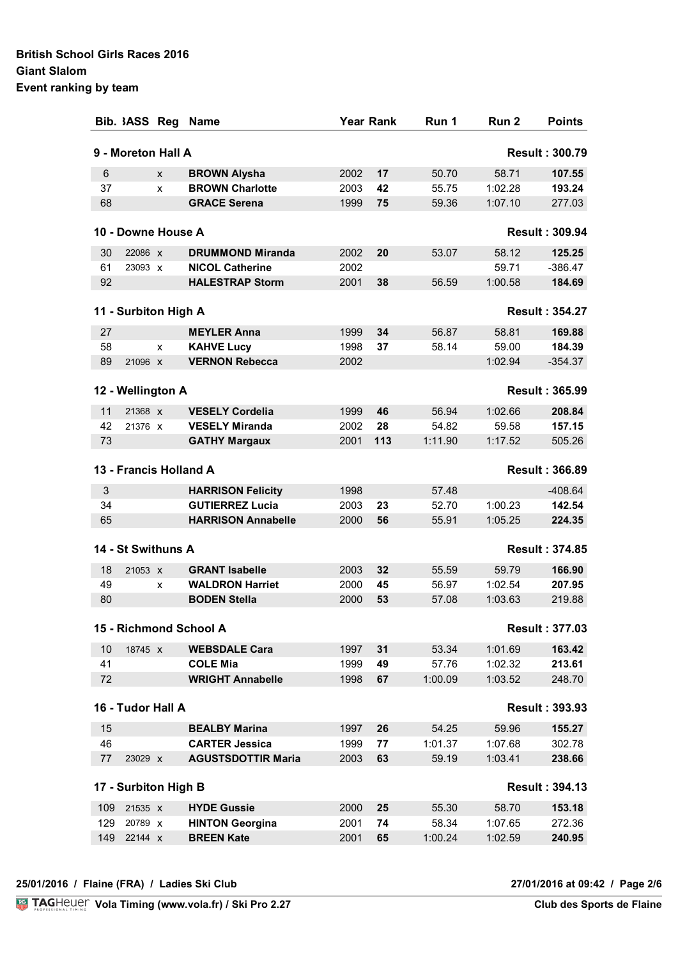|                | Bib. 3ASS Reg        |   | <b>Name</b>               |      | <b>Year Rank</b> | Run 1   | Run 2   | <b>Points</b>         |
|----------------|----------------------|---|---------------------------|------|------------------|---------|---------|-----------------------|
|                | 9 - Moreton Hall A   |   |                           |      |                  |         |         | <b>Result: 300.79</b> |
| $6\phantom{1}$ |                      | X | <b>BROWN Alysha</b>       | 2002 | 17               | 50.70   | 58.71   | 107.55                |
| 37             |                      | X | <b>BROWN Charlotte</b>    | 2003 | 42               | 55.75   | 1:02.28 | 193.24                |
| 68             |                      |   | <b>GRACE Serena</b>       | 1999 | 75               | 59.36   | 1:07.10 | 277.03                |
|                | 10 - Downe House A   |   |                           |      |                  |         |         | <b>Result: 309.94</b> |
| 30             | 22086 x              |   | <b>DRUMMOND Miranda</b>   | 2002 | 20               | 53.07   | 58.12   | 125.25                |
| 61             | 23093 X              |   | <b>NICOL Catherine</b>    | 2002 |                  |         | 59.71   | $-386.47$             |
| 92             |                      |   | <b>HALESTRAP Storm</b>    | 2001 | 38               | 56.59   | 1:00.58 | 184.69                |
|                | 11 - Surbiton High A |   |                           |      |                  |         |         | <b>Result: 354.27</b> |
| 27             |                      |   | <b>MEYLER Anna</b>        | 1999 | 34               | 56.87   | 58.81   | 169.88                |
| 58             |                      | X | <b>KAHVE Lucy</b>         | 1998 | 37               | 58.14   | 59.00   | 184.39                |
| 89             | 21096 x              |   | <b>VERNON Rebecca</b>     | 2002 |                  |         | 1:02.94 | $-354.37$             |
|                | 12 - Wellington A    |   |                           |      |                  |         |         | <b>Result: 365.99</b> |
| 11             | 21368 x              |   | <b>VESELY Cordelia</b>    | 1999 | 46               | 56.94   | 1:02.66 | 208.84                |
| 42             | 21376 x              |   | <b>VESELY Miranda</b>     | 2002 | 28               | 54.82   | 59.58   | 157.15                |
| 73             |                      |   | <b>GATHY Margaux</b>      | 2001 | 113              | 1:11.90 | 1:17.52 | 505.26                |
|                |                      |   | 13 - Francis Holland A    |      |                  |         |         | <b>Result: 366.89</b> |
| 3              |                      |   | <b>HARRISON Felicity</b>  | 1998 |                  | 57.48   |         | $-408.64$             |
| 34             |                      |   | <b>GUTIERREZ Lucia</b>    | 2003 | 23               | 52.70   | 1:00.23 | 142.54                |
| 65             |                      |   | <b>HARRISON Annabelle</b> | 2000 | 56               | 55.91   | 1:05.25 | 224.35                |
|                | 14 - St Swithuns A   |   |                           |      |                  |         |         | <b>Result: 374.85</b> |
| 18             | 21053 x              |   | <b>GRANT Isabelle</b>     | 2003 | 32               | 55.59   | 59.79   | 166.90                |
| 49             |                      | X | <b>WALDRON Harriet</b>    | 2000 | 45               | 56.97   | 1:02.54 | 207.95                |
| 80             |                      |   | <b>BODEN Stella</b>       | 2000 | 53               | 57.08   | 1:03.63 | 219.88                |
|                |                      |   | 15 - Richmond School A    |      |                  |         |         | <b>Result: 377.03</b> |
| 10             | 18745 x              |   | <b>WEBSDALE Cara</b>      | 1997 | 31               | 53.34   | 1:01.69 | 163.42                |
| 41             |                      |   | <b>COLE Mia</b>           | 1999 | 49               | 57.76   | 1:02.32 | 213.61                |
| 72             |                      |   | <b>WRIGHT Annabelle</b>   | 1998 | 67               | 1:00.09 | 1:03.52 | 248.70                |
|                | 16 - Tudor Hall A    |   |                           |      |                  |         |         | <b>Result: 393.93</b> |
| 15             |                      |   | <b>BEALBY Marina</b>      | 1997 | 26               | 54.25   | 59.96   | 155.27                |
| 46             |                      |   | <b>CARTER Jessica</b>     | 1999 | 77               | 1:01.37 | 1:07.68 | 302.78                |
| 77             | 23029 x              |   | <b>AGUSTSDOTTIR Maria</b> | 2003 | 63               | 59.19   | 1:03.41 | 238.66                |
|                | 17 - Surbiton High B |   |                           |      |                  |         |         | <b>Result: 394.13</b> |
| 109            | 21535 x              |   | <b>HYDE Gussie</b>        | 2000 | 25               | 55.30   | 58.70   | 153.18                |
| 129            | 20789 x              |   | <b>HINTON Georgina</b>    | 2001 | 74               | 58.34   | 1:07.65 | 272.36                |
| 149            | 22144 X              |   | <b>BREEN Kate</b>         | 2001 | 65               | 1:00.24 | 1:02.59 | 240.95                |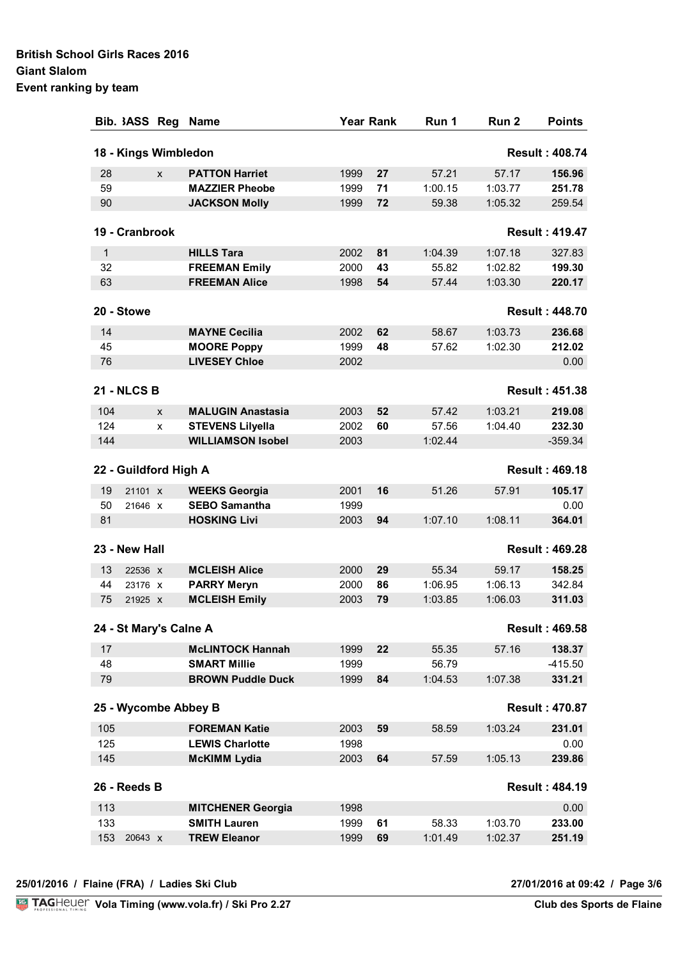| Bib. 3ASS Reg          |   | <b>Name</b>                                     | <b>Year Rank</b> |    | Run 1   | Run 2   | <b>Points</b>         |
|------------------------|---|-------------------------------------------------|------------------|----|---------|---------|-----------------------|
| 18 - Kings Wimbledon   |   |                                                 |                  |    |         |         | <b>Result: 408.74</b> |
| 28                     | X | <b>PATTON Harriet</b>                           | 1999             | 27 | 57.21   | 57.17   | 156.96                |
| 59                     |   | <b>MAZZIER Pheobe</b>                           | 1999             | 71 | 1:00.15 | 1:03.77 | 251.78                |
| 90                     |   | <b>JACKSON Molly</b>                            | 1999             | 72 | 59.38   | 1:05.32 | 259.54                |
| 19 - Cranbrook         |   |                                                 |                  |    |         |         | <b>Result: 419.47</b> |
| $\mathbf 1$            |   | <b>HILLS Tara</b>                               | 2002             | 81 | 1:04.39 | 1:07.18 |                       |
| 32                     |   | <b>FREEMAN Emily</b>                            | 2000             | 43 | 55.82   | 1:02.82 | 327.83<br>199.30      |
| 63                     |   | <b>FREEMAN Alice</b>                            | 1998             | 54 | 57.44   | 1:03.30 | 220.17                |
|                        |   |                                                 |                  |    |         |         |                       |
| 20 - Stowe             |   |                                                 |                  |    |         |         | <b>Result: 448.70</b> |
| 14                     |   | <b>MAYNE Cecilia</b>                            | 2002             | 62 | 58.67   | 1:03.73 | 236.68                |
| 45                     |   | <b>MOORE Poppy</b>                              | 1999             | 48 | 57.62   | 1:02.30 | 212.02                |
| 76                     |   | <b>LIVESEY Chloe</b>                            | 2002             |    |         |         | 0.00                  |
| <b>21 - NLCS B</b>     |   |                                                 |                  |    |         |         | <b>Result: 451.38</b> |
| 104                    | X | <b>MALUGIN Anastasia</b>                        | 2003             | 52 | 57.42   | 1:03.21 | 219.08                |
| 124                    | X | <b>STEVENS Lilyella</b>                         | 2002             | 60 | 57.56   | 1:04.40 | 232.30                |
| 144                    |   | <b>WILLIAMSON Isobel</b>                        | 2003             |    | 1:02.44 |         | $-359.34$             |
|                        |   |                                                 |                  |    |         |         |                       |
| 22 - Guildford High A  |   |                                                 |                  |    |         |         | <b>Result: 469.18</b> |
| 19<br>21101 X          |   | <b>WEEKS Georgia</b>                            | 2001             | 16 | 51.26   | 57.91   | 105.17                |
| 50<br>21646 X          |   | <b>SEBO Samantha</b>                            | 1999             |    |         |         | 0.00                  |
| 81                     |   | <b>HOSKING Livi</b>                             | 2003             | 94 | 1:07.10 | 1:08.11 | 364.01                |
| 23 - New Hall          |   |                                                 |                  |    |         |         | <b>Result: 469.28</b> |
| 13<br>22536 X          |   | <b>MCLEISH Alice</b>                            | 2000             | 29 | 55.34   | 59.17   | 158.25                |
| 44<br>23176 X          |   | <b>PARRY Meryn</b>                              | 2000             | 86 | 1:06.95 | 1:06.13 | 342.84                |
| 75<br>21925 X          |   | <b>MCLEISH Emily</b>                            | 2003             | 79 | 1:03.85 | 1:06.03 | 311.03                |
|                        |   |                                                 |                  |    |         |         |                       |
| 24 - St Mary's Calne A |   |                                                 |                  |    |         |         | <b>Result: 469.58</b> |
| 17                     |   | <b>McLINTOCK Hannah</b>                         | 1999             | 22 | 55.35   | 57.16   | 138.37                |
| 48                     |   | <b>SMART Millie</b>                             | 1999             |    | 56.79   |         | $-415.50$             |
| 79                     |   | <b>BROWN Puddle Duck</b>                        | 1999             | 84 | 1:04.53 | 1:07.38 | 331.21                |
| 25 - Wycombe Abbey B   |   |                                                 |                  |    |         |         | <b>Result: 470.87</b> |
| 105                    |   | <b>FOREMAN Katie</b>                            | 2003             | 59 | 58.59   | 1:03.24 | 231.01                |
| 125                    |   | <b>LEWIS Charlotte</b>                          | 1998             |    |         |         | 0.00                  |
| 145                    |   | <b>McKIMM Lydia</b>                             | 2003             | 64 | 57.59   | 1:05.13 | 239.86                |
| 26 - Reeds B           |   |                                                 |                  |    |         |         | <b>Result: 484.19</b> |
|                        |   |                                                 |                  |    |         |         |                       |
| 113<br>133             |   | <b>MITCHENER Georgia</b><br><b>SMITH Lauren</b> | 1998<br>1999     | 61 | 58.33   | 1:03.70 | 0.00<br>233.00        |
| 153<br>20643 X         |   | <b>TREW Eleanor</b>                             | 1999             | 69 | 1:01.49 | 1:02.37 | 251.19                |
|                        |   |                                                 |                  |    |         |         |                       |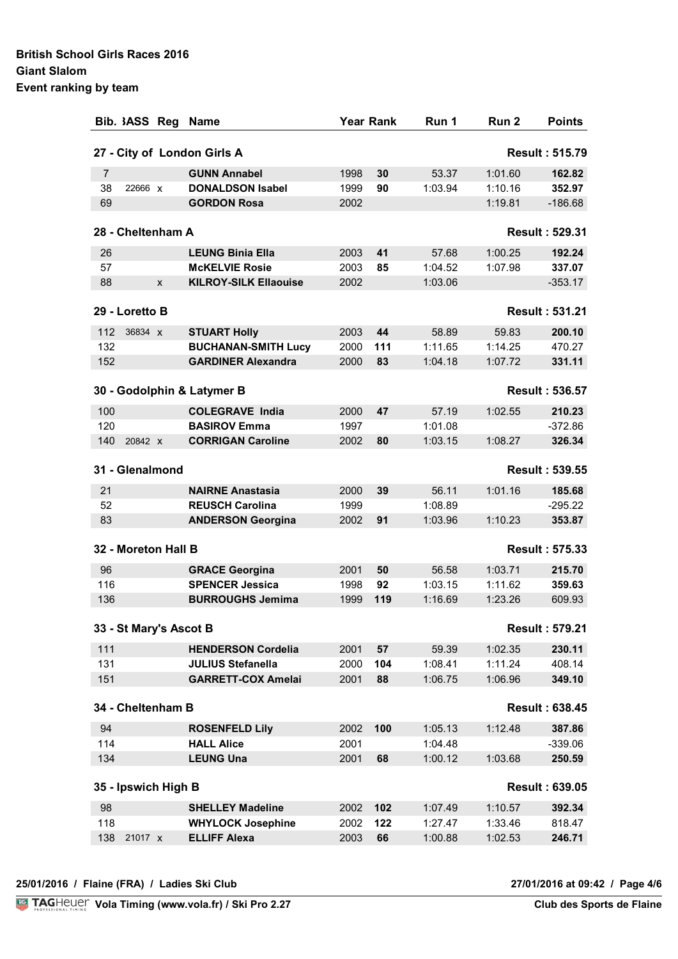| $\overline{7}$         |                   |              |                              |      |     |         |         |                       |
|------------------------|-------------------|--------------|------------------------------|------|-----|---------|---------|-----------------------|
|                        |                   |              | 27 - City of London Girls A  |      |     |         |         | <b>Result: 515.79</b> |
|                        |                   |              | <b>GUNN Annabel</b>          | 1998 | 30  | 53.37   | 1:01.60 | 162.82                |
| 38                     | 22666 x           |              | <b>DONALDSON Isabel</b>      | 1999 | 90  | 1:03.94 | 1:10.16 | 352.97                |
| 69                     |                   |              | <b>GORDON Rosa</b>           | 2002 |     |         | 1:19.81 | $-186.68$             |
|                        | 28 - Cheltenham A |              |                              |      |     |         |         | <b>Result: 529.31</b> |
| 26                     |                   |              | <b>LEUNG Binia Ella</b>      | 2003 | 41  | 57.68   | 1:00.25 | 192.24                |
| 57                     |                   |              | <b>McKELVIE Rosie</b>        | 2003 | 85  | 1:04.52 | 1:07.98 | 337.07                |
| 88                     |                   | $\mathsf{x}$ | <b>KILROY-SILK Ellaouise</b> | 2002 |     | 1:03.06 |         | $-353.17$             |
|                        | 29 - Loretto B    |              |                              |      |     |         |         | <b>Result: 531.21</b> |
| 112                    | 36834 x           |              | <b>STUART Holly</b>          | 2003 | 44  | 58.89   | 59.83   | 200.10                |
| 132                    |                   |              | <b>BUCHANAN-SMITH Lucy</b>   | 2000 | 111 | 1:11.65 | 1:14.25 | 470.27                |
| 152                    |                   |              | <b>GARDINER Alexandra</b>    | 2000 | 83  | 1:04.18 | 1:07.72 | 331.11                |
|                        |                   |              | 30 - Godolphin & Latymer B   |      |     |         |         | <b>Result: 536.57</b> |
| 100                    |                   |              | <b>COLEGRAVE India</b>       | 2000 | 47  | 57.19   | 1:02.55 | 210.23                |
| 120                    |                   |              | <b>BASIROV Emma</b>          | 1997 |     | 1:01.08 |         | $-372.86$             |
| 140                    | 20842 X           |              | <b>CORRIGAN Caroline</b>     | 2002 | 80  | 1:03.15 | 1:08.27 | 326.34                |
| 31 - Glenalmond        |                   |              |                              |      |     |         |         | <b>Result: 539.55</b> |
| 21                     |                   |              | <b>NAIRNE Anastasia</b>      | 2000 | 39  | 56.11   | 1:01.16 | 185.68                |
| 52                     |                   |              | <b>REUSCH Carolina</b>       | 1999 |     | 1:08.89 |         | $-295.22$             |
| 83                     |                   |              | <b>ANDERSON Georgina</b>     | 2002 | 91  | 1:03.96 | 1:10.23 | 353.87                |
| 32 - Moreton Hall B    |                   |              |                              |      |     |         |         | <b>Result: 575.33</b> |
| 96                     |                   |              | <b>GRACE Georgina</b>        | 2001 | 50  | 56.58   | 1:03.71 | 215.70                |
| 116                    |                   |              | <b>SPENCER Jessica</b>       | 1998 | 92  | 1:03.15 | 1:11.62 | 359.63                |
| 136                    |                   |              | <b>BURROUGHS Jemima</b>      | 1999 | 119 | 1:16.69 | 1:23.26 | 609.93                |
| 33 - St Mary's Ascot B |                   |              |                              |      |     |         |         | <b>Result: 579.21</b> |
| 111                    |                   |              | <b>HENDERSON Cordelia</b>    | 2001 | 57  | 59.39   | 1:02.35 | 230.11                |
| 131                    |                   |              | <b>JULIUS Stefanella</b>     | 2000 | 104 | 1:08.41 | 1:11.24 | 408.14                |
| 151                    |                   |              | <b>GARRETT-COX Amelai</b>    | 2001 | 88  | 1:06.75 | 1:06.96 | 349.10                |
| 34 - Cheltenham B      |                   |              |                              |      |     |         |         | <b>Result: 638.45</b> |
| 94                     |                   |              | <b>ROSENFELD Lily</b>        | 2002 | 100 | 1:05.13 | 1:12.48 | 387.86                |
| 114                    |                   |              | <b>HALL Alice</b>            | 2001 |     | 1:04.48 |         | $-339.06$             |
| 134                    |                   |              | <b>LEUNG Una</b>             | 2001 | 68  | 1:00.12 | 1:03.68 | 250.59                |
| 35 - Ipswich High B    |                   |              |                              |      |     |         |         | <b>Result: 639.05</b> |
| 98                     |                   |              | <b>SHELLEY Madeline</b>      | 2002 | 102 | 1:07.49 | 1:10.57 | 392.34                |
| 118                    |                   |              | <b>WHYLOCK Josephine</b>     | 2002 | 122 | 1:27.47 | 1:33.46 | 818.47                |
| 138                    | 21017 x           |              | <b>ELLIFF Alexa</b>          | 2003 | 66  | 1:00.88 | 1:02.53 | 246.71                |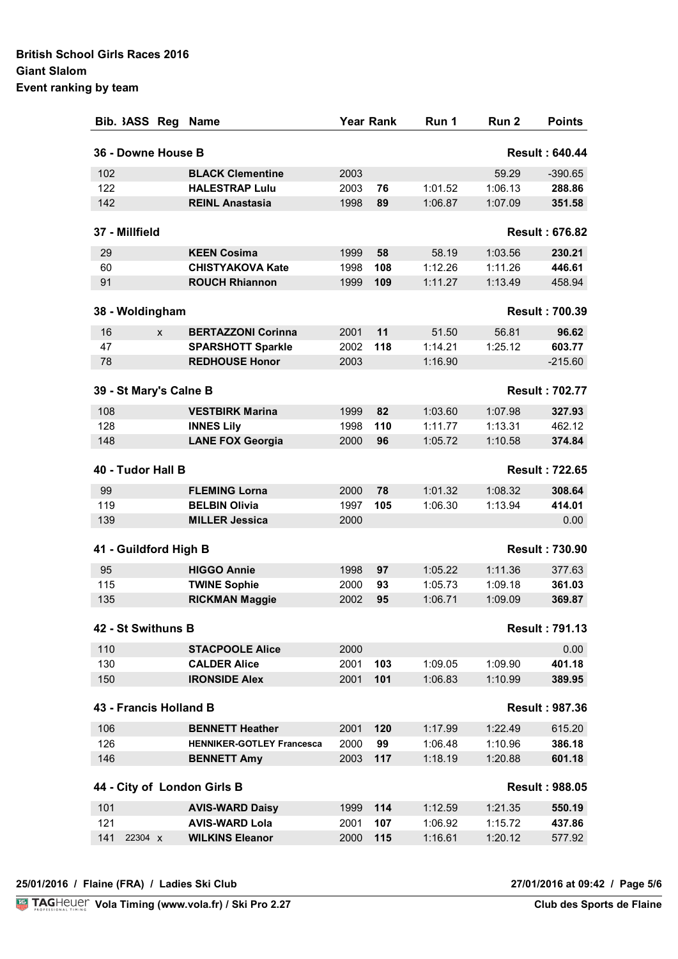| Bib. 3ASS Reg          |   | <b>Name</b>                      |      | <b>Year Rank</b> | Run 1   | Run 2   | <b>Points</b>         |
|------------------------|---|----------------------------------|------|------------------|---------|---------|-----------------------|
| 36 - Downe House B     |   |                                  |      |                  |         |         | <b>Result: 640.44</b> |
| 102                    |   | <b>BLACK Clementine</b>          | 2003 |                  |         | 59.29   | $-390.65$             |
| 122                    |   | <b>HALESTRAP Lulu</b>            | 2003 | 76               | 1:01.52 | 1:06.13 | 288.86                |
| 142                    |   | <b>REINL Anastasia</b>           | 1998 | 89               | 1:06.87 | 1:07.09 | 351.58                |
| 37 - Millfield         |   |                                  |      |                  |         |         | <b>Result: 676.82</b> |
| 29                     |   | <b>KEEN Cosima</b>               | 1999 | 58               | 58.19   | 1:03.56 | 230.21                |
| 60                     |   | <b>CHISTYAKOVA Kate</b>          | 1998 | 108              | 1:12.26 | 1:11.26 | 446.61                |
| 91                     |   | <b>ROUCH Rhiannon</b>            | 1999 | 109              | 1:11.27 | 1:13.49 | 458.94                |
| 38 - Woldingham        |   |                                  |      |                  |         |         | <b>Result: 700.39</b> |
| 16                     | X | <b>BERTAZZONI Corinna</b>        | 2001 | 11               | 51.50   | 56.81   | 96.62                 |
| 47                     |   | <b>SPARSHOTT Sparkle</b>         | 2002 | 118              | 1:14.21 | 1:25.12 | 603.77                |
| 78                     |   | <b>REDHOUSE Honor</b>            | 2003 |                  | 1:16.90 |         | $-215.60$             |
| 39 - St Mary's Calne B |   |                                  |      |                  |         |         | <b>Result: 702.77</b> |
| 108                    |   | <b>VESTBIRK Marina</b>           | 1999 | 82               | 1:03.60 | 1:07.98 | 327.93                |
| 128                    |   | <b>INNES Lily</b>                | 1998 | 110              | 1:11.77 | 1:13.31 | 462.12                |
| 148                    |   | <b>LANE FOX Georgia</b>          | 2000 | 96               | 1:05.72 | 1:10.58 | 374.84                |
| 40 - Tudor Hall B      |   |                                  |      |                  |         |         | <b>Result: 722.65</b> |
| 99                     |   | <b>FLEMING Lorna</b>             | 2000 | 78               | 1:01.32 | 1:08.32 | 308.64                |
| 119                    |   | <b>BELBIN Olivia</b>             | 1997 | 105              | 1:06.30 | 1:13.94 | 414.01                |
| 139                    |   | <b>MILLER Jessica</b>            | 2000 |                  |         |         | 0.00                  |
| 41 - Guildford High B  |   |                                  |      |                  |         |         | <b>Result: 730.90</b> |
| 95                     |   | <b>HIGGO Annie</b>               | 1998 | 97               | 1:05.22 | 1:11.36 | 377.63                |
| 115                    |   | <b>TWINE Sophie</b>              | 2000 | 93               | 1:05.73 | 1:09.18 | 361.03                |
| 135                    |   | <b>RICKMAN Maggie</b>            | 2002 | 95               | 1:06.71 | 1:09.09 | 369.87                |
| 42 - St Swithuns B     |   |                                  |      |                  |         |         | <b>Result: 791.13</b> |
| 110                    |   | <b>STACPOOLE Alice</b>           | 2000 |                  |         |         | 0.00                  |
| 130                    |   | <b>CALDER Alice</b>              | 2001 | 103              | 1:09.05 | 1:09.90 | 401.18                |
| 150                    |   | <b>IRONSIDE Alex</b>             | 2001 | 101              | 1:06.83 | 1:10.99 | 389.95                |
| 43 - Francis Holland B |   |                                  |      |                  |         |         | <b>Result: 987.36</b> |
| 106                    |   | <b>BENNETT Heather</b>           | 2001 | 120              | 1:17.99 | 1:22.49 | 615.20                |
| 126                    |   | <b>HENNIKER-GOTLEY Francesca</b> | 2000 | 99               | 1:06.48 | 1:10.96 | 386.18                |
| 146                    |   | <b>BENNETT Amy</b>               | 2003 | 117              | 1:18.19 | 1:20.88 | 601.18                |
|                        |   | 44 - City of London Girls B      |      |                  |         |         | <b>Result: 988.05</b> |
| 101                    |   | <b>AVIS-WARD Daisy</b>           | 1999 | 114              | 1:12.59 | 1:21.35 | 550.19                |
| 121                    |   | <b>AVIS-WARD Lola</b>            | 2001 | 107              | 1:06.92 | 1:15.72 | 437.86                |
| 141<br>22304 X         |   | <b>WILKINS Eleanor</b>           | 2000 | 115              | 1:16.61 | 1:20.12 | 577.92                |